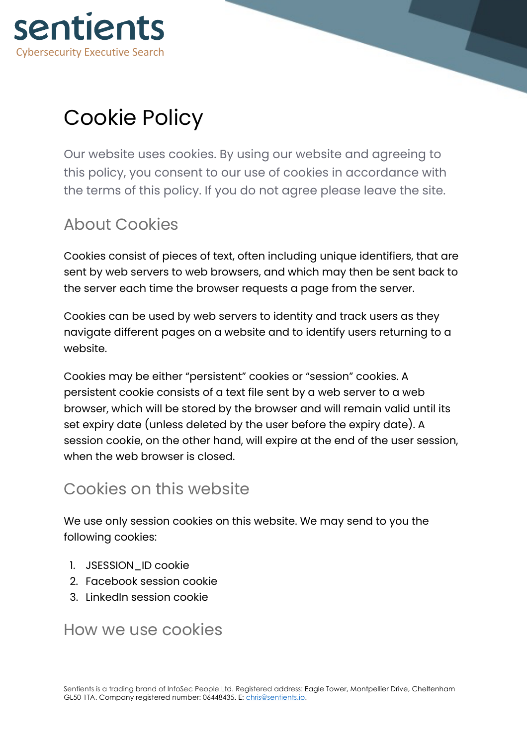

# Cookie Policy

Our website uses cookies. By using our website and agreeing to this policy, you consent to our use of cookies in accordance with the terms of this policy. If you do not agree please leave the site.

### About Cookies

Cookies consist of pieces of text, often including unique identifiers, that are sent by web servers to web browsers, and which may then be sent back to the server each time the browser requests a page from the server.

Cookies can be used by web servers to identity and track users as they navigate different pages on a website and to identify users returning to a website.

Cookies may be either "persistent" cookies or "session" cookies. A persistent cookie consists of a text file sent by a web server to a web browser, which will be stored by the browser and will remain valid until its set expiry date (unless deleted by the user before the expiry date). A session cookie, on the other hand, will expire at the end of the user session, when the web browser is closed.

#### Cookies on this website

We use only session cookies on this website. We may send to you the following cookies:

- 1. JSESSION\_ID cookie
- 2. Facebook session cookie
- 3. LinkedIn session cookie

#### How we use cookies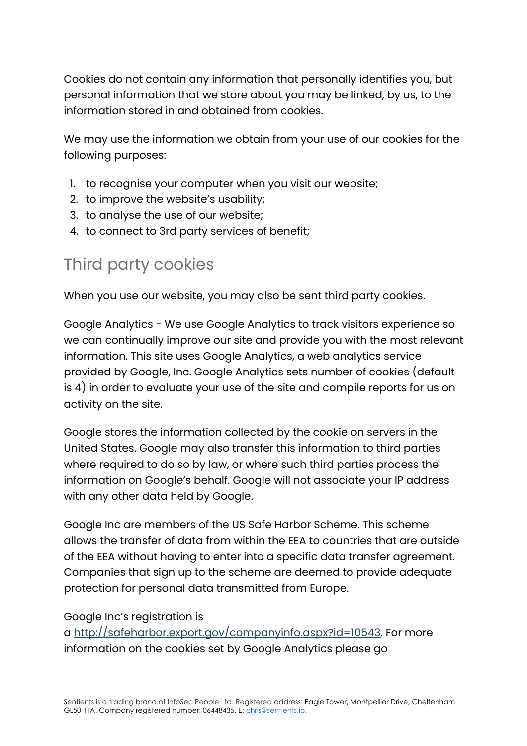Cookies do not contain any information that personally identifies you, but personal information that we store about you may be linked, by us, to the information stored in and obtained from cookies.

We may use the information we obtain from your use of our cookies for the following purposes:

- 1. to recognise your computer when you visit our website;
- 2. to improve the website's usability;
- 3. to analyse the use of our website;
- 4. to connect to 3rd party services of benefit;

### Third party cookies

When you use our website, you may also be sent third party cookies.

Google Analytics - We use Google Analytics to track visitors experience so we can continually improve our site and provide you with the most relevant information. This site uses Google Analytics, a web analytics service provided by Google, Inc. Google Analytics sets number of cookies (default is 4) in order to evaluate your use of the site and compile reports for us on activity on the site.

Google stores the information collected by the cookie on servers in the United States. Google may also transfer this information to third parties where required to do so by law, or where such third parties process the information on Google's behalf. Google will not associate your IP address with any other data held by Google.

Google Inc are members of the US Safe Harbor Scheme. This scheme allows the transfer of data from within the EEA to countries that are outside of the EEA without having to enter into a specific data transfer agreement. Companies that sign up to the scheme are deemed to provide adequate protection for personal data transmitted from Europe.

#### Google Inc's registration is

a http://safeharbor.export.gov/companyinfo.aspx?id=10543. For more information on the cookies set by Google Analytics please go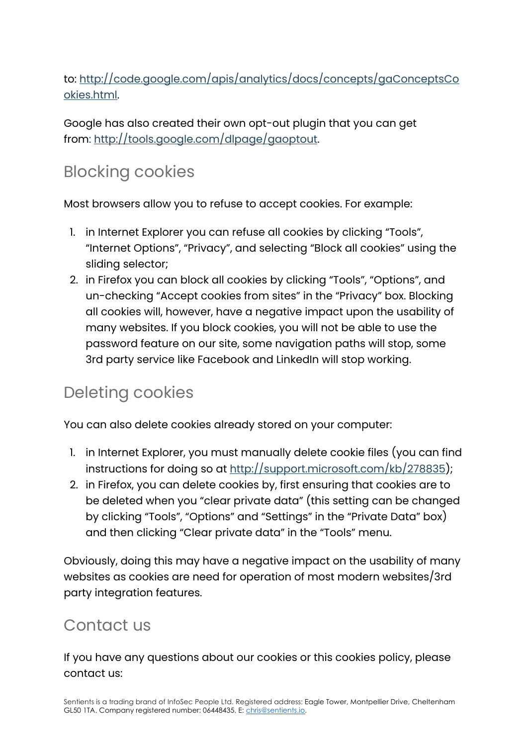to: http://code.google.com/apis/analytics/docs/concepts/gaConceptsCo okies.html.

Google has also created their own opt-out plugin that you can get from: http://tools.google.com/dlpage/gaoptout.

## Blocking cookies

Most browsers allow you to refuse to accept cookies. For example:

- 1. in Internet Explorer you can refuse all cookies by clicking "Tools", "Internet Options", "Privacy", and selecting "Block all cookies" using the sliding selector;
- 2. in Firefox you can block all cookies by clicking "Tools", "Options", and un-checking "Accept cookies from sites" in the "Privacy" box. Blocking all cookies will, however, have a negative impact upon the usability of many websites. If you block cookies, you will not be able to use the password feature on our site, some navigation paths will stop, some 3rd party service like Facebook and LinkedIn will stop working.

### Deleting cookies

You can also delete cookies already stored on your computer:

- 1. in Internet Explorer, you must manually delete cookie files (you can find instructions for doing so at http://support.microsoft.com/kb/278835);
- 2. in Firefox, you can delete cookies by, first ensuring that cookies are to be deleted when you "clear private data" (this setting can be changed by clicking "Tools", "Options" and "Settings" in the "Private Data" box) and then clicking "Clear private data" in the "Tools" menu.

Obviously, doing this may have a negative impact on the usability of many websites as cookies are need for operation of most modern websites/3rd party integration features.

#### Contact us

If you have any questions about our cookies or this cookies policy, please contact us: